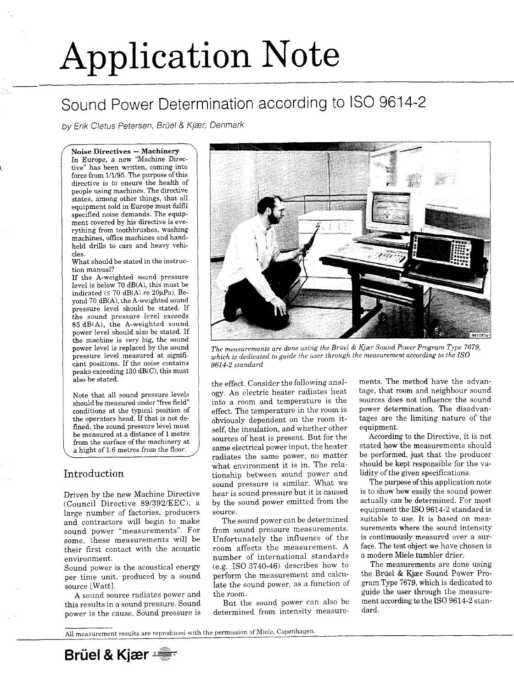# Application Note

## Sound Power Determination according to ISO 9614-2

*<sup>f</sup>* **Noise Directives — Machinery** \ In Europe, a new "Machine Directive" has been written, coming into force from 1/1/95. The purpose of this directive is to ensure the health of people using machines. The directive states, among other things, that all equipment sold in Europe must fulfil specified noise demands. The equipment covered by his directive is everything from toothbrushes, washing machines, office machines and handheld drills to cars and heavy vehicles. What should be stated in the instruction manual? If the A-weighted sound pressure level is below 70 dB(A), this must be indicated  $( \leq 70$  dB(A) re 20 $\mu$ Pa). Beyond 70 dB(A), the A-weighted sound pressure level should be stated. If the sound pressure level exceeds 85 dB(A), the A-weighted sound power level should also be stated. If the machine is very big, the sound cant positions. If the noise contains | 9614-2 standard peaks exceeding 130 dB(C), this must also be stated.



power level is replaced by the sound<br> *The measurements are done using the Brüel & Kjær Sound Power Program Type 7679,*<br> *which is dedicated to guide the user through the measurement according to the ISO* which is dedicated to guide the user through the measurement according to the ISO

(Council Directive 89/392/EEC), a by the sound power emitted from the actually can be determined. For most equipment the ISO 9614-2 standard is large number of factories, producers source.

*by Erik Cietus Peiersen, Bruei & Kjser, Denmark* 

the effect. Consider the following anal- ments. The method have the advan-Note that all sound pressure levels ogy. An electric heater radiates heat tage, that room and neighbour sound should be measured under "free field" into a room and temperature is the sources does not influence the sound<br>conditions at the typical position of effect The temperature in the room is power determination. The disadvanconditions at the typical position of  $\qquad$  effect. The temperature in the room is the operators head. If that is not de-<br>fined, the sound pressure level must<br>also the insulation and whether other equipment. fined, the sound pressure level must  $\left\{\n\begin{array}{c}\n\text{self, the insulation, and whether other}\n\end{array}\n\right.$ be measured at a distance of 1 metre  $\begin{vmatrix} \text{self, the insulation, and whether other, the equipment is the  
conver  $\end{vmatrix}$  - Aecording to the Di$ be measured at a distance of 1 metre<br>from the surface of the machinery at sources of heat is present. But for the According to the Directive, it is not<br>some electrical nower input, the heater stated how the measurements s a hight of 1.6 metres from the floor. J same electrical power input, the heater stated how the measurements should radiates the same nower, no matter be performed, just that the producer radiates the same power, no matter be performed, just that the producer<br>what environment it is in. The rela-<br>should be kept responsible for the vawhat environment it is in. The rela-<br>tionship between sound power and lidity of the given specifications. Introduction tionship between sound power and lidity of the given specifications.<br>sound pressure is similar. What we The purpose of this application note sound pressure is similar. What we The purpose of this application note<br>hear is sound pressure but it is caused is to show how easily the sound power Driven by the new Machine Directive hear is sound pressure but it is caused

and contractors will begin to make The sound power can be determined suitable to use. It is based on mea-<br>cound power "measurements" For from sound pressure measurements. Surements where the sound intensity sound power "measurements". For from sound pressure measurements. surements where the sound intensity<br>come these measurements will be Hinfortunately the influence of the is continuously measured over a sursome, these measurements will be Unfortunately the influence of the is continuously measured over a sur-<br>their first contact with the acoustic room affects the measurement. A face. The test object we have chosen is their first contact with the acoustic room affects the measurement. A face. The test object we have chosen is  $\frac{1}{2}$  regiment. environment.<br>
number of international standards a modern Miele tumbler drier.<br>  $\epsilon_{\text{current}}$  regional power is the acoustical energy (e.g. ISO 3740-46) describes how to The measurements are done using Sound power is the acoustical energy (e.g. ISO 3740-46) describes how to The measurements are done using<br>non-time unit, produced by a sound perform the measurement and calcu-<br>non-time unit, produced by a sound perform the per time unit, produced by a sound perform the measurement and calcu-<br>late the sound power, as a function of gram Type 7679, which is dedicated to source [Watt].<br>ate the sound power, as a function of gram Type 7679, which is dedicated to<br>a sound source redictes power and the room A sound source radiates power and the room.<br>A sound source radiates power and the room.<br>But the sound power can also be ment according to the ISO 9614-2 stan-

this results in a sound pressure. Sound But the sound power can also be power is the cause. Sound pressure is determined from intensity measure- dard.

All measurement results are reproduced with the permission of Miele, Copenhagen.

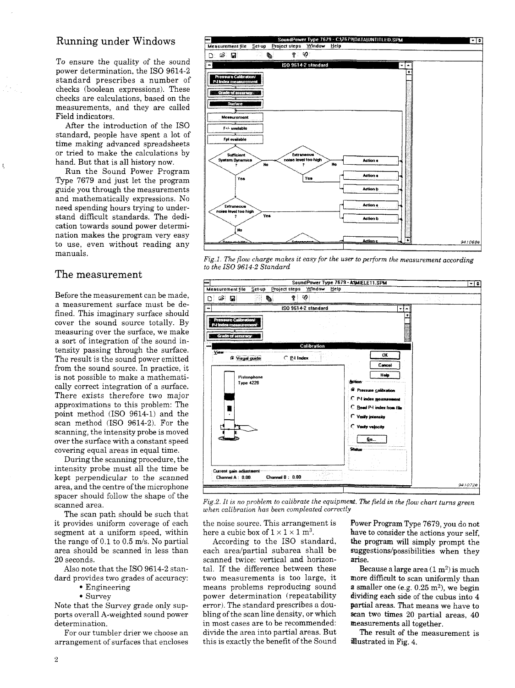### Running under Windows

To ensure the quality of the sound power determination, the ISO 9614-2 standard prescribes a number of checks (boolean expressions). These checks are calculations, based on the measurements, and they are called Field indicators.

After the introduction of the ISO standard, people have spent a lot of time making advanced spreadsheets or tried to make the calculations by hand. But that is all history now.

Before the measurement can be made, a measurement surface must be defined. This imaginary surface should cover the sound source totally. By measuring over the surface, we make a sort of integration of the sound intensity passing through the surface. The result is the sound power emitted from the sound source. In practice, it is not possible to make a mathematically correct integration of a surface. There exists therefore two major approximations to this problem: The point method (ISO 9614-1) and the scan method (ISO 9614-2). For the scanning, the intensity probe is moved over the surface with a constant speed covering equal areas in equal time. During the scanning procedure, the intensity probe must all the time be kept perpendicular to the scanned area, and the centre of the microphone spacer should follow the shape of the scanned area. The scan path should be such that it provides uniform coverage of each segment at a uniform speed, within the range of 0.1 to 0.5 m/s. No partial area should be scanned in less than 20 seconds. Also note that the ISO 9614-2 standard provides two grades of accuracy: • Engineering • Survey

Run the Sound Power Program Type 7679 and just let the program guide you through the measurements and mathematically expressions. No need spending hours trying to understand difficult standards. The dedication towards sound power determination makes the program very easy to use, even without reading any manuals.



### The measurement

Fig.2. It is no problem to calibrate the equipment. The field in the flow chart turns green *when calibration has been compleated correctly* 

 $\hbox{in} \qquad \hbox{here a cubic box of $1 \times 1 \times 1$ m^3$}$ 

each area/partial subarea shall be suggestions/possibilities when they scanned twice: vertical and horizon- arise. tal. If the difference between these two measurements is too large, it more difficult to scan uniformly than means problems reproducing sound power determination (repeatability dividing each side of the cubus into 4 error). The standard prescribes a dou-<br>partial areas. That means we have to bling of the scan line density, or which scan two times 20 partial areas, 40 in most cases are to be recommended: measurements all together. divide the area into partial areas. But The result of the measurement is this is exactly the benefit of the Sound illustrated in Fig. 4.

the noise source. This arrangement is Power Program Type 7679, you do not . bave to consider the actions your self, According to the ISO standard, the program will simply prompt the  $^{2})$  is much  $^{2}$ ), we begin

Note that the Survey grade only supports overall A-weighted sound power determination.

For our tumbler drier we choose an arrangement of surfaces that encloses

*Fig.l. The flow charge makes it easy for the user to perform the measurement according to the ISO 9614-2 Standard* 

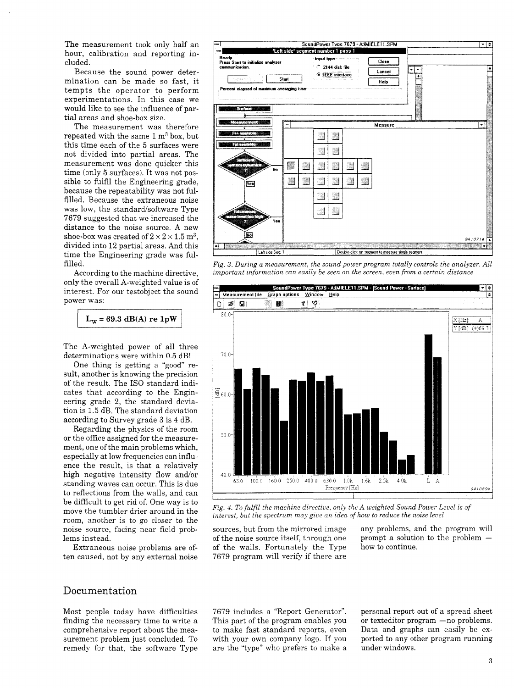The measurement took only half an hour, calibration and reporting included.

Because the sound power determination can be made so fast, it tempts the operator to perform experimentations. In this case we would like to see the influence of partial areas and shoe-box size.

The measurement was therefore repeated with the same  $1 \text{ m}^3$  box, but this time each of the 5 surfaces were not divided into partial areas. The measurement was done quicker this time (only 5 surfaces). It was not possible to fulfil the Engineering grade, because the repeatability was not fulfilled. Because the extraneous noise was low, the standard/software Type 7679 suggested that we increased the distance to the noise source. A new shoe-box was created of  $2 \times 2 \times 1.5$  m<sup>3</sup>. divided into 12 partial areas. And this time the Engineering grade was fulfilled. According to the machine directive, only the overall A-weighted value is of interest. For our testobject the sound power was:



 $L_w = 69.3$  dB(A) re  $1pW$ 

The A-weighted power of all three determinations were within 0.5 dB!

> sources, but from the mirrored image any problems, and the program will of the noise source itself, through one prompt a solution to the problem  $$ of the walls. Fortunately the Type how to continue. 7679 program will verify if there are

This part of the program enables you or texteditor program —no problems. to make fast standard reports, even Data and graphs can easily be exwith your own company logo. If you ported to any other program running are the "type" who prefers to make a under windows.

*Fig. 3. During a measurement, the sound power program totally controls the analyzer. All important information can easily be seen on the screen, even from a certain distance* 

| $=$<br>Measurement file<br>$\Rightarrow$                          | Graph options                          | Window<br>Heip                            | SoundPower Type 7679 - A:\MIELE11.SPM - [Sound Power - Surface] |                    |
|-------------------------------------------------------------------|----------------------------------------|-------------------------------------------|-----------------------------------------------------------------|--------------------|
| ಡೆ.<br>۳<br>فالمحاوي والمحاويات<br><b>Sections</b><br>посебение 8 | <b>INST</b><br>■<br>الأرد ويحدد دعاريا | V<br>Ŗ<br>in concert.<br><b>Provincia</b> |                                                                 |                    |
| $80.0 +$                                                          |                                        |                                           |                                                                 | Hz <br>А<br>$dB^1$ |
| $70.0 +$                                                          |                                        |                                           |                                                                 |                    |

One thing is getting a "good" result, another is knowing the precision of the result. The ISO standard indicates that according to the Engineering grade 2, the standard deviation is 1.5 dB. The standard deviation according to Survey grade 3 is 4 dB. Regarding the physics of the room or the office assigned for the measurement, one of the main problems which, especially at low frequencies can influence the result, is that a relatively high negative intensity flow and/or standing waves can occur. This is due to reflections from the walls, and can be difficult to get rid of. One way is to move the tumbler drier around in the room, another is to go closer to the noise source, facing near field problems instead.

Extraneous noise problems are often caused, not by any external noise



*Fig. 4. To fulfil the machine directive, only the A-weighted Sound Power Level is of interest, but the spectrum may give an idea of how to reduce the noise level* 

#### Documentation

Most people today have difficulties finding the necessary time to write a comprehensive report about the measurement problem just concluded. To remedy for that, the software Type 7679 includes a "Report Generator". personal report out of a spread sheet

**3**